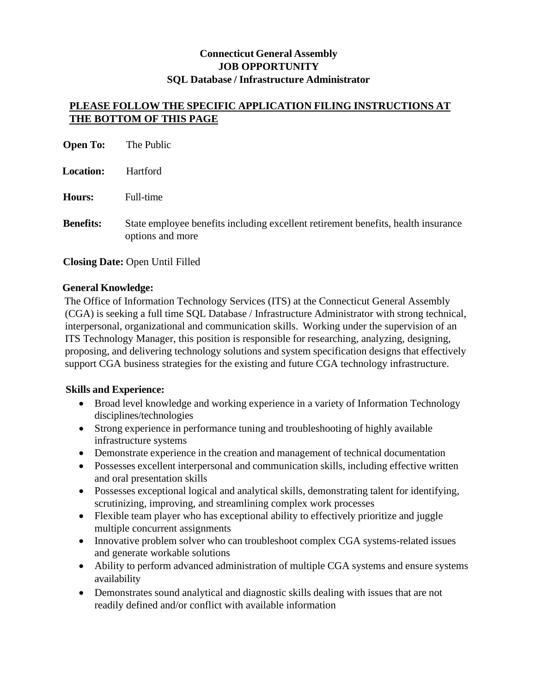# **Connecticut General Assembly JOB OPPORTUNITY SQL Database / Infrastructure Administrator**

# **PLEASE FOLLOW THE SPECIFIC APPLICATION FILING INSTRUCTIONS AT THE BOTTOM OF THIS PAGE**

| <b>Open To:</b>  | The Public                                                                                            |
|------------------|-------------------------------------------------------------------------------------------------------|
| <b>Location:</b> | <b>Hartford</b>                                                                                       |
| Hours:           | Full-time                                                                                             |
| <b>Benefits:</b> | State employee benefits including excellent retirement benefits, health insurance<br>options and more |

# **Closing Date:** Open Until Filled

#### **General Knowledge:**

The Office of Information Technology Services (ITS) at the Connecticut General Assembly (CGA) is seeking a full time SQL Database / Infrastructure Administrator with strong technical, interpersonal, organizational and communication skills. Working under the supervision of an ITS Technology Manager, this position is responsible for researching, analyzing, designing, proposing, and delivering technology solutions and system specification designs that effectively support CGA business strategies for the existing and future CGA technology infrastructure.

#### **Skills and Experience:**

- Broad level knowledge and working experience in a variety of Information Technology disciplines/technologies
- Strong experience in performance tuning and troubleshooting of highly available infrastructure systems
- Demonstrate experience in the creation and management of technical documentation
- Possesses excellent interpersonal and communication skills, including effective written and oral presentation skills
- Possesses exceptional logical and analytical skills, demonstrating talent for identifying, scrutinizing, improving, and streamlining complex work processes
- Flexible team player who has exceptional ability to effectively prioritize and juggle multiple concurrent assignments
- Innovative problem solver who can troubleshoot complex CGA systems-related issues and generate workable solutions
- Ability to perform advanced administration of multiple CGA systems and ensure systems availability
- Demonstrates sound analytical and diagnostic skills dealing with issues that are not readily defined and/or conflict with available information